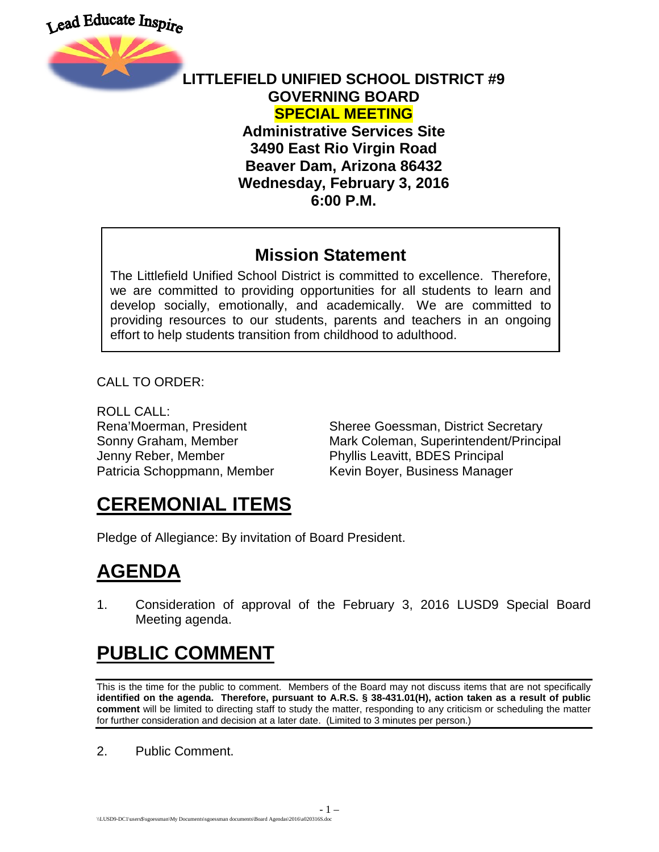Lead Educate Inspire



#### **LITTLEFIELD UNIFIED SCHOOL DISTRICT #9 GOVERNING BOARD SPECIAL MEETING Administrative Services Site 3490 East Rio Virgin Road**

**Beaver Dam, Arizona 86432 Wednesday, February 3, 2016 6:00 P.M.**

#### **Mission Statement**

The Littlefield Unified School District is committed to excellence. Therefore, we are committed to providing opportunities for all students to learn and develop socially, emotionally, and academically. We are committed to providing resources to our students, parents and teachers in an ongoing effort to help students transition from childhood to adulthood.

CALL TO ORDER:

ROLL CALL:

Rena'Moerman, President Sheree Goessman, District Secretary Sonny Graham, Member Mark Coleman, Superintendent/Principal Jenny Reber, Member Phyllis Leavitt, BDES Principal Patricia Schoppmann, Member Kevin Boyer, Business Manager

## **CEREMONIAL ITEMS**

Pledge of Allegiance: By invitation of Board President.

## **AGENDA**

1. Consideration of approval of the February 3, 2016 LUSD9 Special Board Meeting agenda.

# **PUBLIC COMMENT**

This is the time for the public to comment. Members of the Board may not discuss items that are not specifically **identified on the agenda. Therefore, pursuant to A.R.S. § 38-431.01(H), action taken as a result of public comment** will be limited to directing staff to study the matter, responding to any criticism or scheduling the matter for further consideration and decision at a later date. (Limited to 3 minutes per person.)

2. Public Comment.